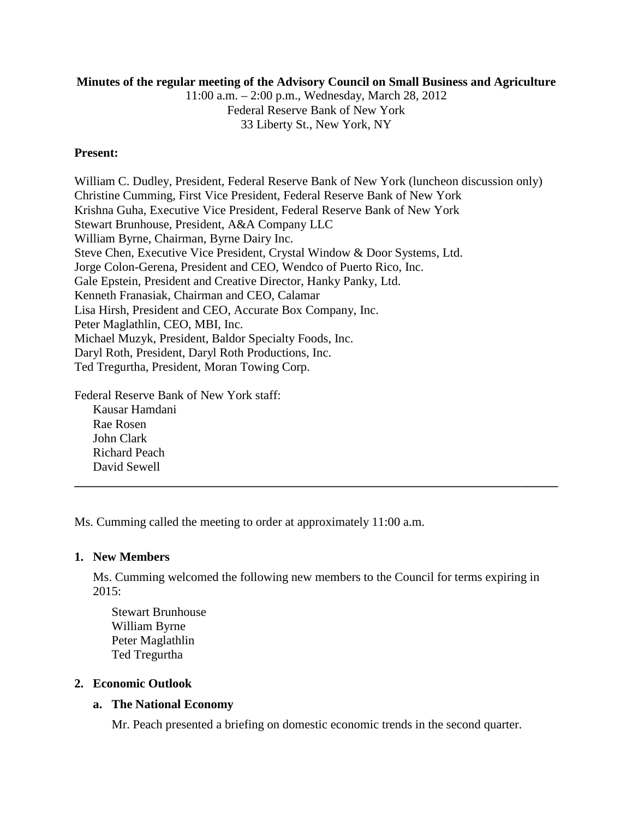# **Minutes of the regular meeting of the Advisory Council on Small Business and Agriculture**

11:00 a.m. – 2:00 p.m., Wednesday, March 28, 2012 Federal Reserve Bank of New York 33 Liberty St., New York, NY

# **Present:**

William C. Dudley, President, Federal Reserve Bank of New York (luncheon discussion only) Christine Cumming, First Vice President, Federal Reserve Bank of New York Krishna Guha, Executive Vice President, Federal Reserve Bank of New York Stewart Brunhouse, President, A&A Company LLC William Byrne, Chairman, Byrne Dairy Inc. Steve Chen, Executive Vice President, Crystal Window & Door Systems, Ltd. Jorge Colon-Gerena, President and CEO, Wendco of Puerto Rico, Inc. Gale Epstein, President and Creative Director, Hanky Panky, Ltd. Kenneth Franasiak, Chairman and CEO, Calamar Lisa Hirsh, President and CEO, Accurate Box Company, Inc. Peter Maglathlin, CEO, MBI, Inc. Michael Muzyk, President, Baldor Specialty Foods, Inc. Daryl Roth, President, Daryl Roth Productions, Inc. Ted Tregurtha, President, Moran Towing Corp.

Federal Reserve Bank of New York staff:

Kausar Hamdani Rae Rosen John Clark Richard Peach David Sewell

Ms. Cumming called the meeting to order at approximately 11:00 a.m.

# **1. New Members**

Ms. Cumming welcomed the following new members to the Council for terms expiring in 2015:

**\_\_\_\_\_\_\_\_\_\_\_\_\_\_\_\_\_\_\_\_\_\_\_\_\_\_\_\_\_\_\_\_\_\_\_\_\_\_\_\_\_\_\_\_\_\_\_\_\_\_\_\_\_\_\_\_\_\_\_\_\_\_\_\_\_\_\_\_\_\_\_\_\_\_\_\_\_\_**

Stewart Brunhouse William Byrne Peter Maglathlin Ted Tregurtha

# **2. Economic Outlook**

# **a. The National Economy**

Mr. Peach presented a briefing on domestic economic trends in the second quarter.